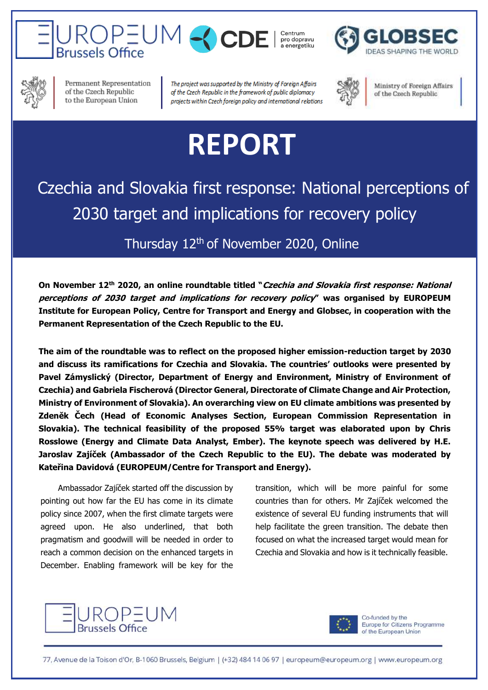





Permanent Representation of the Czech Republic to the European Union

The project was supported by the Ministry of Foreign Affairs of the Czech Republic in the framework of public diplomacy projects within Czech foreign policy and international relations



Ministry of Foreign Affairs of the Czech Republic

## **REPORT**

## Czechia and Slovakia first response: National perceptions of 2030 target and implications for recovery policy

## Thursday 12<sup>th</sup> of November 2020, Online

**On November 12th 2020, an online roundtable titled "Czechia and Slovakia first response: National perceptions of 2030 target and implications for recovery policy" was organised by EUROPEUM Institute for European Policy, Centre for Transport and Energy and Globsec, in cooperation with the Permanent Representation of the Czech Republic to the EU.**

**The aim of the roundtable was to reflect on the proposed higher emission-reduction target by 2030 and discuss its ramifications for Czechia and Slovakia. The countries' outlooks were presented by Pavel Zámyslický (Director, Department of Energy and Environment, Ministry of Environment of Czechia) and Gabriela Fischerová (Director General, Directorate of Climate Change and Air Protection, Ministry of Environment of Slovakia). An overarching view on EU climate ambitions was presented by Zdeněk Čech (Head of Economic Analyses Section, European Commission Representation in Slovakia). The technical feasibility of the proposed 55% target was elaborated upon by Chris Rosslowe (Energy and Climate Data Analyst, Ember). The keynote speech was delivered by H.E. Jaroslav Zajíček (Ambassador of the Czech Republic to the EU). The debate was moderated by Kateřina Davidová (EUROPEUM/Centre for Transport and Energy).**

Ambassador Zajíček started off the discussion by pointing out how far the EU has come in its climate policy since 2007, when the first climate targets were agreed upon. He also underlined, that both pragmatism and goodwill will be needed in order to reach a common decision on the enhanced targets in December. Enabling framework will be key for the

transition, which will be more painful for some countries than for others. Mr Zajíček welcomed the existence of several EU funding instruments that will help facilitate the green transition. The debate then focused on what the increased target would mean for Czechia and Slovakia and how is it technically feasible.





Co-funded by the Europe for Citizens Programme of the European Union

77, Avenue de la Toison d'Or, B-1060 Brussels, Belgium | (+32) 484 14 06 97 | europeum@europeum.org | www.europeum.org